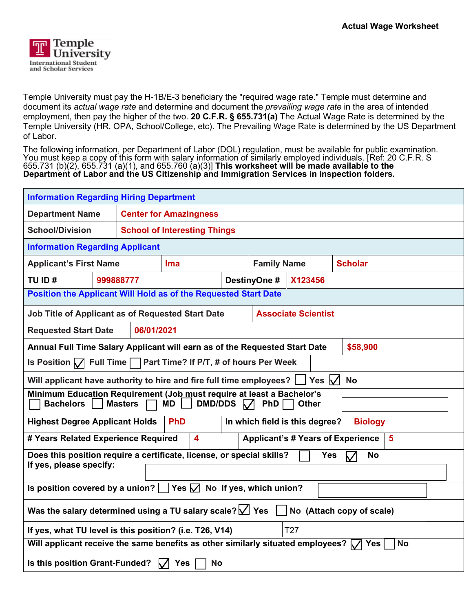

Temple University must pay the H-1B/E-3 beneficiary the "required wage rate." Temple must determine and document its *actual wage rate* and determine and document the *prevailing wage rate* in the area of intended employment, then pay the higher of the two. **20 C.F.R. § 655.731(a)** The Actual Wage Rate is determined by the Temple University (HR, OPA, School/College, etc). The Prevailing Wage Rate is determined by the US Department of Labor.

The following information, per Department of Labor (DOL) regulation, must be available for public examination. You must keep a copy of this form with salary information of similarly employed individuals. [Ref: 20 C.F.R. S 655.731 (b)(2), 655.731 (a)(1), and 655.760 (a)(3)] **This worksheet will be made available to the Department of Labor and the US Citizenship and Immigration Services in inspection folders.** 

| <b>Information Regarding Hiring Department</b>                                                                                                                           |           |                                     |            |  |                         |  |                |  |  |
|--------------------------------------------------------------------------------------------------------------------------------------------------------------------------|-----------|-------------------------------------|------------|--|-------------------------|--|----------------|--|--|
| <b>Department Name</b>                                                                                                                                                   |           | <b>Center for Amazingness</b>       |            |  |                         |  |                |  |  |
| <b>School/Division</b>                                                                                                                                                   |           | <b>School of Interesting Things</b> |            |  |                         |  |                |  |  |
| <b>Information Regarding Applicant</b>                                                                                                                                   |           |                                     |            |  |                         |  |                |  |  |
| <b>Applicant's First Name</b>                                                                                                                                            |           |                                     | <b>Ima</b> |  | <b>Family Name</b>      |  | <b>Scholar</b> |  |  |
| TU ID#                                                                                                                                                                   | 999888777 |                                     |            |  | DestinyOne #<br>X123456 |  |                |  |  |
| Position the Applicant Will Hold as of the Requested Start Date                                                                                                          |           |                                     |            |  |                         |  |                |  |  |
| <b>Associate Scientist</b><br>Job Title of Applicant as of Requested Start Date                                                                                          |           |                                     |            |  |                         |  |                |  |  |
| 06/01/2021<br><b>Requested Start Date</b>                                                                                                                                |           |                                     |            |  |                         |  |                |  |  |
| Annual Full Time Salary Applicant will earn as of the Requested Start Date<br>\$58,900                                                                                   |           |                                     |            |  |                         |  |                |  |  |
| Full Time<br>Part Time? If P/T, # of hours Per Week<br>Is Position $\sqrt{\phantom{a}}$                                                                                  |           |                                     |            |  |                         |  |                |  |  |
| Yes $\sqrt{}$<br>Will applicant have authority to hire and fire full time employees?    <br><b>No</b>                                                                    |           |                                     |            |  |                         |  |                |  |  |
| Minimum Education Requirement (Job must require at least a Bachelor's<br><b>DMD/DDS</b><br><b>MD</b><br><b>Bachelors</b><br><b>Masters</b><br><b>PhD</b><br><b>Other</b> |           |                                     |            |  |                         |  |                |  |  |
| <b>Highest Degree Applicant Holds</b><br>In which field is this degree?<br><b>PhD</b><br><b>Biology</b>                                                                  |           |                                     |            |  |                         |  |                |  |  |
| # Years Related Experience Required<br><b>Applicant's # Years of Experience</b><br>$\overline{\mathbf{4}}$<br>$5\phantom{1}$                                             |           |                                     |            |  |                         |  |                |  |  |
| Does this position require a certificate, license, or special skills?<br>Yes<br><b>No</b><br>If yes, please specify:                                                     |           |                                     |            |  |                         |  |                |  |  |
| $\sqrt{Y}$ No If yes, which union?<br>Is position covered by a union? $\vert$                                                                                            |           |                                     |            |  |                         |  |                |  |  |
| Was the salary determined using a TU salary scale? $\bigvee$ Yes $\Box$<br>No (Attach copy of scale)                                                                     |           |                                     |            |  |                         |  |                |  |  |
| If yes, what TU level is this position? (i.e. T26, V14)<br>T <sub>27</sub>                                                                                               |           |                                     |            |  |                         |  |                |  |  |
| Will applicant receive the same benefits as other similarly situated employees? $\sqrt{\phantom{a}}$<br><b>No</b><br>Yes                                                 |           |                                     |            |  |                         |  |                |  |  |
| Is this position Grant-Funded?<br>M<br><b>Yes</b><br><b>No</b>                                                                                                           |           |                                     |            |  |                         |  |                |  |  |